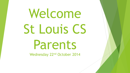# Welcome St Louis CS Parents

Wednesday 22<sup>nd</sup> October 2014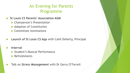### An Evening for Parents Programme

- **St Louis CS Parents' Association AGM** 
	- **Chairperson's Presentation**
	- ▶ Adoption of Constitution
	- ▶ Committee nominations
- **Launch of St Louis CS App** with Cahil Doherty, Principal
- **Interval**
	- Student's Musical Performance
	- **Refreshments**

**Talk on Stress Management** with Dr Gerry O'Farrell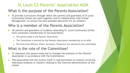#### St Louis CS Parents' Association AGM

#### What is the purpose of the Parents Association?

 To provide a structure through which the parents and guardians of St Louis Community School can work together and in collaboration with School Management, to ensure the best possible education for all children.

#### Who is a member of the Parents Association?

- All parents and guardians of students attending St. Louis Community School have automatic membership of the Association:
	- The parent body is the Parents' Association
	- The Committee is elected by the Parents' Association membership at an AGM
	- The Executive Officers (Chair, Secretary, Treasurer) are elected by the Committee

#### What is the role of the Committee?

- To represent the parent body and to manage the business of the Parents' Association in accordance with the Constitution.
- The Association will not involve itself in representation on matters involving individual students or matters relating to the internal administration of the school.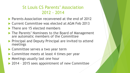### St Louis CS Parents' Association 2012 - 2014

- **Parents Association reconvened at the end of 2012**
- ▶ Current Committee was elected at AGM Feb 2013
- There are 15 elected members
- ▶ The Parents' Nominees to the Board of Management are automatic members of the Committee
- **Principal and Deputy Principal are invited to attend** meetings
- ▶ Committee serves a two year term
- ▶ Committee meets at least 4 times per year
- **Meetings usually last one hour**
- ▶ 2014 2015 sees appointment of new Committee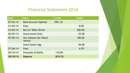#### Financial Statement 2014

| <b>Date</b> | <b>Item</b>                             | <b>Credit</b> | <b>Debit</b> |
|-------------|-----------------------------------------|---------------|--------------|
| 07/02/14    | <b>Bank Account Opened</b>              | 1091.33       |              |
| 21/03/14    | <b>Fees</b>                             |               | 8.85         |
| 24/03/14    | <b>Bus for Table Tennis</b>             |               | 200.00       |
| 26/03/14    | <b>Government Duty</b>                  |               | 25.00        |
| 07/05/14    | <b>Our Schools Got Talent</b><br>refund |               | 100.00       |
|             | <b>Giant Easter Egg</b>                 |               | 50.00        |
| 27/06/14    | <b>Fees</b>                             |               | 6.95         |
| 20/10/14    | <b>Proceeds of Raffle</b>               | 110.00        |              |
| 20/10/14    | <b>Balance</b>                          | 810.53        |              |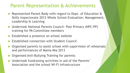## Parent Representation & Achievements

- Represented Parent Body with regard to Dept. of Education & Skills Inspectorate 2012 Whole School Evaluation: Management, Leadership & Learning
- Undertook National Parents Council- Post Primary (NPC-PP) training for PA Committee members
- Established a presence on school website
- Established connection with Student Council
- ▶ Organised parents to assist school with supervision of rehearsals and performances of Mama Mia 2013
- ▶ Organised Anti-Bullying Training for parents
- Undertook fundraising activities in aid of the Parents' Association and the school Wi-Fi infrastructure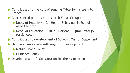- ▶ Contributed to the cost of sending Table Tennis team to France
- Represented parents on research Focus Groups:
	- ▶ Dept. of Health/NUIG Health Behaviour in Schoolaged Children
	- ▶ Dept. of Education & Skills National Digital Strategy for Schools
- ▶ Contributed to development of School's Mission Statement
- Had an advisory role with regard to development of:
	- ▶ Mobile Phone Policy
	- ▶ Guidance Policy
- Developed a draft Constitution for the Association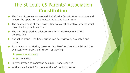## The St Louis CS Parents' Association **Constitution**

- The Committee has researched & drafted a Constitution to outline and govern the operation of the Association and Committee
- ▶ The development of the Constitution was a collaborative process which took about a year to complete
- The NPC-PP played an advisory role in the development of the **Constitution**
- Not set in stone the Constitution can be reviewed, evaluated and revised
- **Parents were notified by letter on Oct 9th of forthcoming AGM and the** availability of draft Constitution for viewing:
	- ▶ [www.stlouiscs.com](http://www.stlouiscs.com/)
	- School Office
- **Parents invited to comment by email none received**
- Motions are invited for the adoption of the Constitution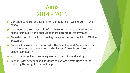## Aims 2014 - 2016

- Continue to represent parents for the benefit of ALL children in the school
- ▶ Continue to raise the profile of the Parents' Association within the school community and encourage more parents to get involved
- To assist the school with achieving their aims as per the School Mission Statement
- ▶ To work in close collaboration with the Principal and Deputy Principal to achieve further integration of the Parents' Association into the school community
- Assist the school with an integrated approach to fundraising
- To work with teachers and students to explore possibilities around reducing the weight of school bags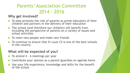## Parents' Association Committee 2014 - 2016

#### **Why get involved?**

- $\blacktriangleright$  To help promote the role of parents as prime educators of their children and partners in the delivery of their education
- ▶ The school (and therefore our children) will benefit from including the perspective of parents on a variety of issues and school activities
- $\blacktriangleright$  To meet new people and make new friends
- $\triangleright$  To continue to ensure that St Louis CS is one of the best schools in the country

#### **What will be expected of you?**

- $\blacktriangleright$  To attend 4 6 meetings per year
- ▶ Contribute your opinion as a parent/guardian on agenda items
- Use your life experience, knowledge and skills for the benefit of the school